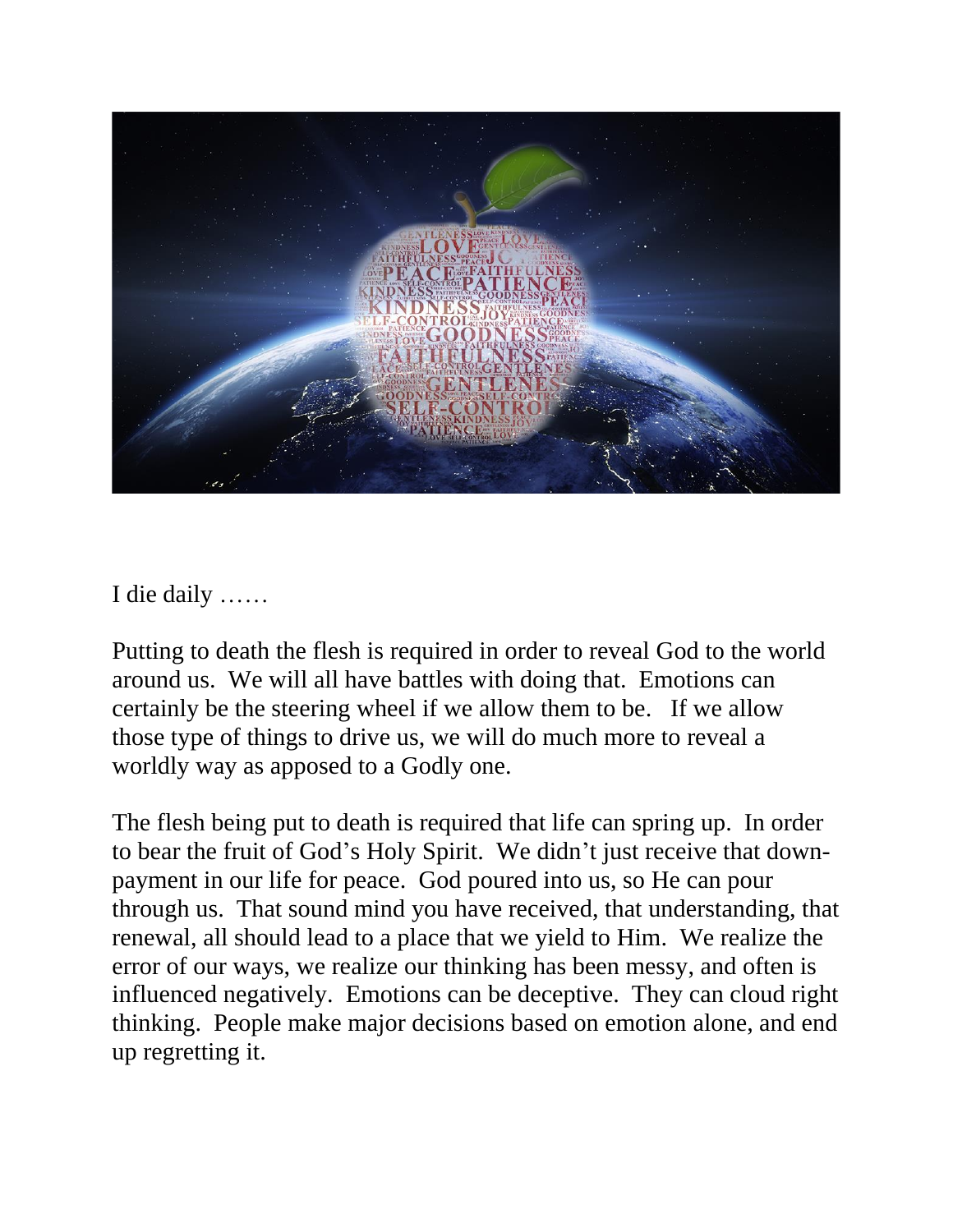

I die daily ……

Putting to death the flesh is required in order to reveal God to the world around us. We will all have battles with doing that. Emotions can certainly be the steering wheel if we allow them to be. If we allow those type of things to drive us, we will do much more to reveal a worldly way as apposed to a Godly one.

The flesh being put to death is required that life can spring up. In order to bear the fruit of God's Holy Spirit. We didn't just receive that downpayment in our life for peace. God poured into us, so He can pour through us. That sound mind you have received, that understanding, that renewal, all should lead to a place that we yield to Him. We realize the error of our ways, we realize our thinking has been messy, and often is influenced negatively. Emotions can be deceptive. They can cloud right thinking. People make major decisions based on emotion alone, and end up regretting it.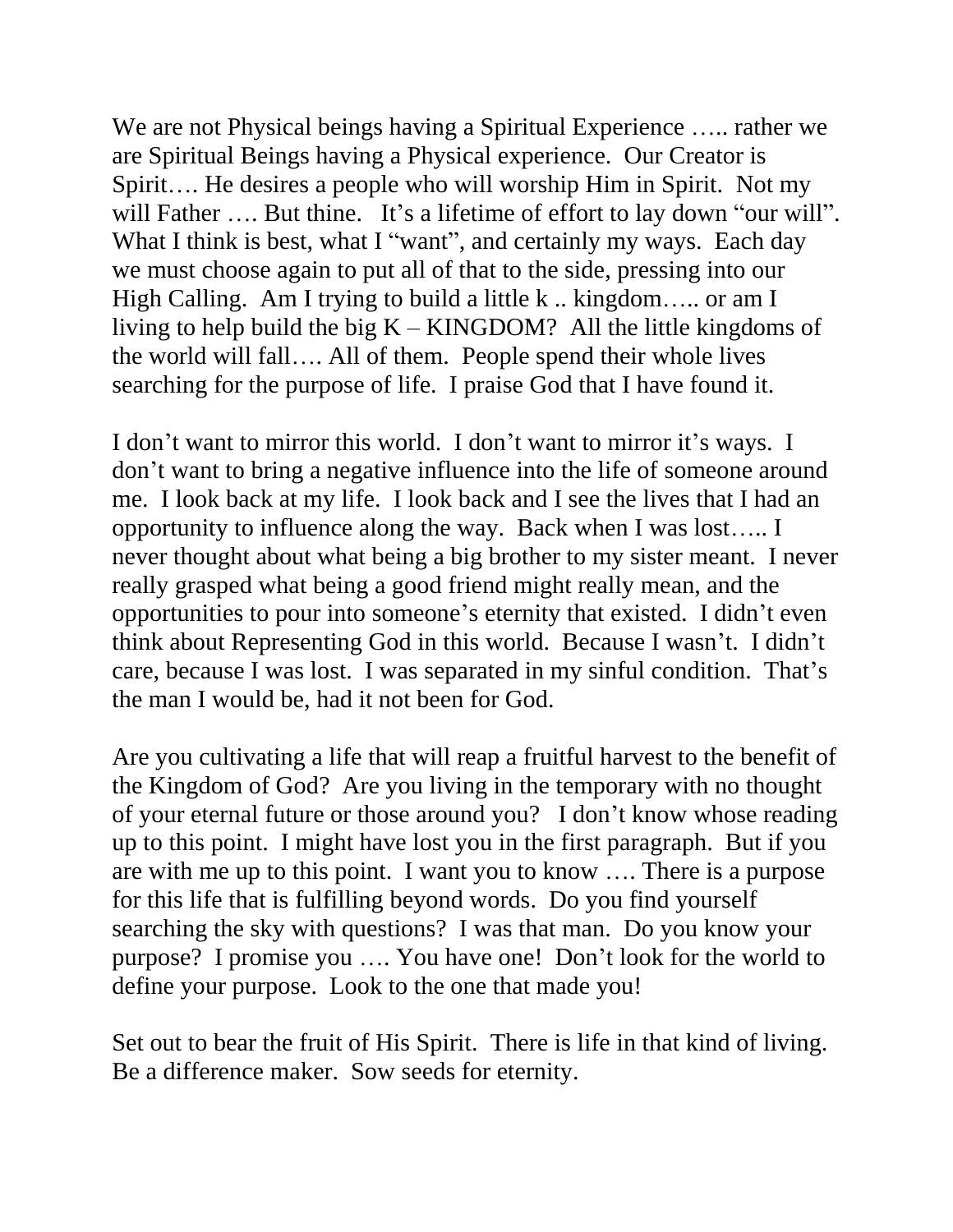We are not Physical beings having a Spiritual Experience ….. rather we are Spiritual Beings having a Physical experience. Our Creator is Spirit…. He desires a people who will worship Him in Spirit. Not my will Father .... But thine. It's a lifetime of effort to lay down "our will". What I think is best, what I "want", and certainly my ways. Each day we must choose again to put all of that to the side, pressing into our High Calling. Am I trying to build a little k .. kingdom..... or am I living to help build the big  $K -$ KINGDOM? All the little kingdoms of the world will fall…. All of them. People spend their whole lives searching for the purpose of life. I praise God that I have found it.

I don't want to mirror this world. I don't want to mirror it's ways. I don't want to bring a negative influence into the life of someone around me. I look back at my life. I look back and I see the lives that I had an opportunity to influence along the way. Back when I was lost….. I never thought about what being a big brother to my sister meant. I never really grasped what being a good friend might really mean, and the opportunities to pour into someone's eternity that existed. I didn't even think about Representing God in this world. Because I wasn't. I didn't care, because I was lost. I was separated in my sinful condition. That's the man I would be, had it not been for God.

Are you cultivating a life that will reap a fruitful harvest to the benefit of the Kingdom of God? Are you living in the temporary with no thought of your eternal future or those around you? I don't know whose reading up to this point. I might have lost you in the first paragraph. But if you are with me up to this point. I want you to know …. There is a purpose for this life that is fulfilling beyond words. Do you find yourself searching the sky with questions? I was that man. Do you know your purpose? I promise you …. You have one! Don't look for the world to define your purpose. Look to the one that made you!

Set out to bear the fruit of His Spirit. There is life in that kind of living. Be a difference maker. Sow seeds for eternity.